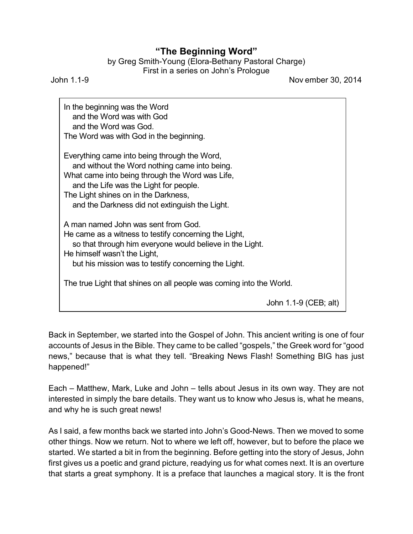## **"The Beginning Word"**

| by Greg Smith-Young (Elora-Bethany Pastoral Charge) |  |
|-----------------------------------------------------|--|
| First in a series on John's Prologue                |  |

John 1.1-9 Nov ember 30, 2014

In the beginning was the Word and the Word was with God and the Word was God. The Word was with God in the beginning. Everything came into being through the Word, and without the Word nothing came into being. What came into being through the Word was Life, and the Life was the Light for people. The Light shines on in the Darkness, and the Darkness did not extinguish the Light. A man named John was sent from God. He came as a witness to testify concerning the Light, so that through him everyone would believe in the Light. He himself wasn't the Light, but his mission was to testify concerning the Light. The true Light that shines on all people was coming into the World. John 1.1-9 (CEB; alt)

Back in September, we started into the Gospel of John. This ancient writing is one of four accounts of Jesus in the Bible. They came to be called "gospels," the Greek word for "good news," because that is what they tell. "Breaking News Flash! Something BIG has just happened!"

Each – Matthew, Mark, Luke and John – tells about Jesus in its own way. They are not interested in simply the bare details. They want us to know who Jesus is, what he means, and why he is such great news!

As I said, a few months back we started into John's Good-News. Then we moved to some other things. Now we return. Not to where we left off, however, but to before the place we started. We started a bit in from the beginning. Before getting into the story of Jesus, John first gives us a poetic and grand picture, readying us for what comes next. It is an overture that starts a great symphony. It is a preface that launches a magical story. It is the front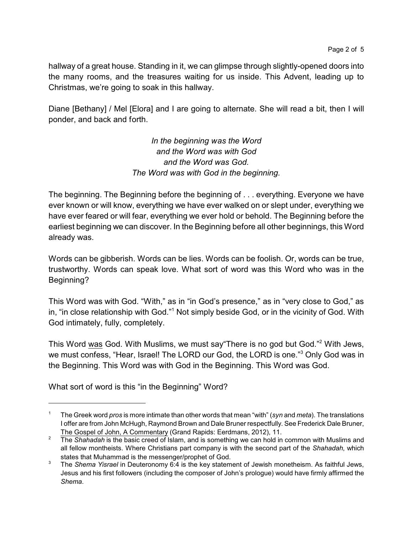hallway of a great house. Standing in it, we can glimpse through slightly-opened doors into the many rooms, and the treasures waiting for us inside. This Advent, leading up to Christmas, we're going to soak in this hallway.

Diane [Bethany] / Mel [Elora] and I are going to alternate. She will read a bit, then I will ponder, and back and forth.

> *In the beginning was the Word and the Word was with God and the Word was God. The Word was with God in the beginning.*

The beginning. The Beginning before the beginning of . . . everything. Everyone we have ever known or will know, everything we have ever walked on or slept under, everything we have ever feared or will fear, everything we ever hold or behold. The Beginning before the earliest beginning we can discover. In the Beginning before all other beginnings, this Word already was.

Words can be gibberish. Words can be lies. Words can be foolish. Or, words can be true, trustworthy. Words can speak love. What sort of word was this Word who was in the Beginning?

This Word was with God. "With," as in "in God's presence," as in "very close to God," as in, "in close relationship with God."<sup>1</sup> Not simply beside God, or in the vicinity of God. With God intimately, fully, completely.

This Word was God. With Muslims, we must say"There is no god but God."<sup>2</sup> With Jews, we must confess, "Hear, Israel! The LORD our God, the LORD is one."<sup>3</sup> Only God was in the Beginning. This Word was with God in the Beginning. This Word was God.

What sort of word is this "in the Beginning" Word?

<sup>1</sup> The Greek word *pros* is more intimate than other words that mean "with" (*syn* and *meta*). The translations I offer are from John McHugh, Raymond Brown and Dale Bruner respectfully. See Frederick Dale Bruner, The Gospel of John, A Commentary (Grand Rapids: Eerdmans, 2012), 11.

<sup>&</sup>lt;sup>2</sup> The *Shahadah* is the basic creed of Islam, and is something we can hold in common with Muslims and all fellow montheists. Where Christians part company is with the second part of the *Shahadah*, which states that Muhammad is the messenger/prophet of God.

<sup>3</sup> The *Shema Yisrael* in Deuteronomy 6:4 is the key statement of Jewish monetheism. As faithful Jews, Jesus and his first followers (including the composer of John's prologue) would have firmly affirmed the *Shema*.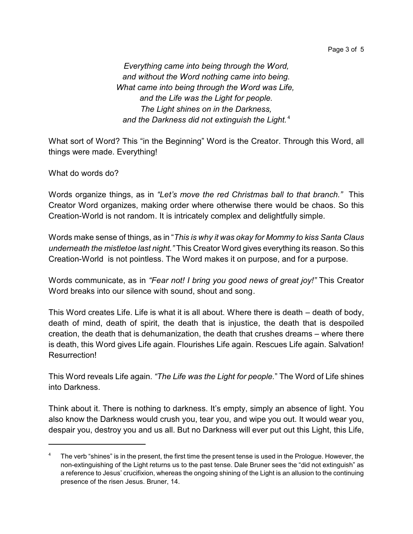Page 3 of 5

*Everything came into being through the Word, and without the Word nothing came into being. What came into being through the Word was Life, and the Life was the Light for people. The Light shines on in the Darkness, and the Darkness did not extinguish the Light.* <sup>4</sup>

What sort of Word? This "in the Beginning" Word is the Creator. Through this Word, all things were made. Everything!

What do words do?

Words organize things, as in *"Let's move the red Christmas ball to that branch."* This Creator Word organizes, making order where otherwise there would be chaos. So this Creation-World is not random. It is intricately complex and delightfully simple.

Words make sense of things, as in "*This is why it was okay for Mommy to kiss Santa Claus underneath the mistletoe last night."* This Creator Word gives everything its reason. So this Creation-World is not pointless. The Word makes it on purpose, and for a purpose.

Words communicate, as in *"Fear not! I bring you good news of great joy!"* This Creator Word breaks into our silence with sound, shout and song.

This Word creates Life. Life is what it is all about. Where there is death – death of body, death of mind, death of spirit, the death that is injustice, the death that is despoiled creation, the death that is dehumanization, the death that crushes dreams – where there is death, this Word gives Life again. Flourishes Life again. Rescues Life again. Salvation! Resurrection!

This Word reveals Life again. *"The Life was the Light for people.*" The Word of Life shines into Darkness.

Think about it. There is nothing to darkness. It's empty, simply an absence of light. You also know the Darkness would crush you, tear you, and wipe you out. It would wear you, despair you, destroy you and us all. But no Darkness will ever put out this Light, this Life,

The verb "shines" is in the present, the first time the present tense is used in the Prologue. However, the non-extinguishing of the Light returns us to the past tense. Dale Bruner sees the "did not extinguish" as a reference to Jesus' crucifixion, whereas the ongoing shining of the Light is an allusion to the continuing presence of the risen Jesus. Bruner, 14.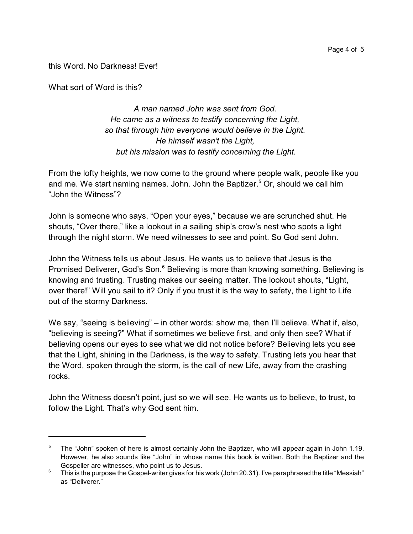this Word. No Darkness! Ever!

What sort of Word is this?

*A man named John was sent from God. He came as a witness to testify concerning the Light, so that through him everyone would believe in the Light. He himself wasn't the Light, but his mission was to testify concerning the Light.*

From the lofty heights, we now come to the ground where people walk, people like you and me. We start naming names. John. John the Baptizer.<sup>5</sup> Or, should we call him "John the Witness"?

John is someone who says, "Open your eyes," because we are scrunched shut. He shouts, "Over there," like a lookout in a sailing ship's crow's nest who spots a light through the night storm. We need witnesses to see and point. So God sent John.

John the Witness tells us about Jesus. He wants us to believe that Jesus is the Promised Deliverer, God's Son.<sup>6</sup> Believing is more than knowing something. Believing is knowing and trusting. Trusting makes our seeing matter. The lookout shouts, "Light, over there!" Will you sail to it? Only if you trust it is the way to safety, the Light to Life out of the stormy Darkness.

We say, "seeing is believing" – in other words: show me, then I'll believe. What if, also, "believing is seeing?" What if sometimes we believe first, and only then see? What if believing opens our eyes to see what we did not notice before? Believing lets you see that the Light, shining in the Darkness, is the way to safety. Trusting lets you hear that the Word, spoken through the storm, is the call of new Life, away from the crashing rocks.

John the Witness doesn't point, just so we will see. He wants us to believe, to trust, to follow the Light. That's why God sent him.

<sup>&</sup>lt;sup>5</sup> The "John" spoken of here is almost certainly John the Baptizer, who will appear again in John 1.19. However, he also sounds like "John" in whose name this book is written. Both the Baptizer and the Gospeller are witnesses, who point us to Jesus.

 $6$  This is the purpose the Gospel-writer gives for his work (John 20.31). I've paraphrased the title "Messiah" as "Deliverer."